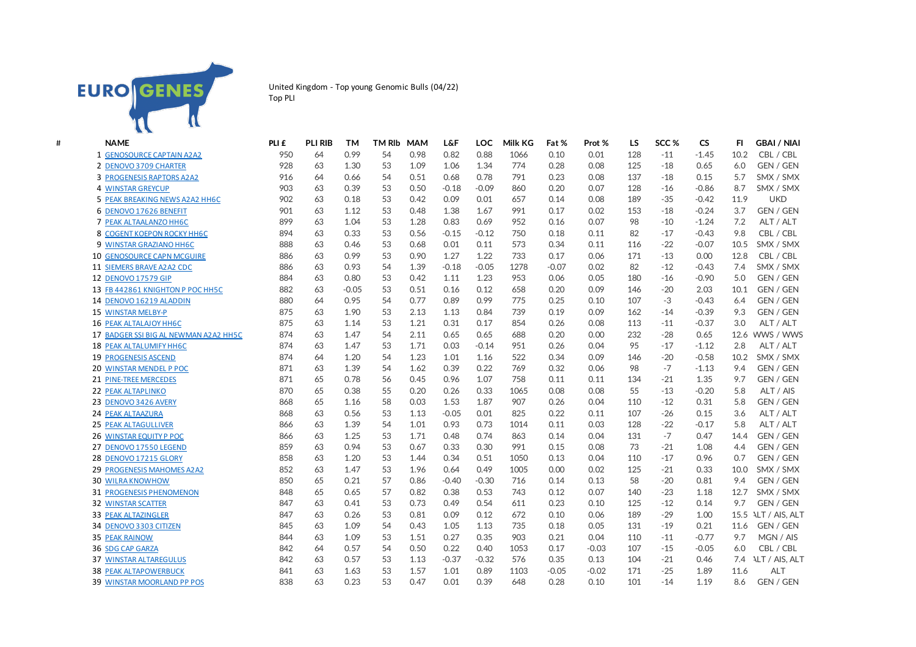

United Kingdom - Top young Genomic Bulls (04/22) Top PLI

| # | <b>NAME</b>                           | PLI £ | <b>PLI RIB</b> | <b>TM</b> | <b>TM RIb</b> | <b>MAM</b> | <b>L&amp;F</b> | <b>LOC</b> | <b>Milk KG</b> | Fat %   | Prot %  | LS  | SCC <sub>%</sub> | <b>CS</b> | FI.  | <b>GBAI / NIAI</b>  |
|---|---------------------------------------|-------|----------------|-----------|---------------|------------|----------------|------------|----------------|---------|---------|-----|------------------|-----------|------|---------------------|
|   | 1 GENOSOURCE CAPTAIN A2A2             | 950   | 64             | 0.99      | 54            | 0.98       | 0.82           | 0.88       | 1066           | 0.10    | 0.01    | 128 | $-11$            | $-1.45$   | 10.2 | CBL / CBL           |
|   | 2 DENOVO 3709 CHARTER                 | 928   | 63             | 1.30      | 53            | 1.09       | 1.06           | 1.34       | 774            | 0.28    | 0.08    | 125 | $-18$            | 0.65      | 6.0  | GEN / GEN           |
|   | 3 PROGENESIS RAPTORS A2A2             | 916   | 64             | 0.66      | 54            | 0.51       | 0.68           | 0.78       | 791            | 0.23    | 0.08    | 137 | $-18$            | 0.15      | 5.7  | SMX / SMX           |
|   | <b>4 WINSTAR GREYCUP</b>              | 903   | 63             | 0.39      | 53            | 0.50       | $-0.18$        | $-0.09$    | 860            | 0.20    | 0.07    | 128 | $-16$            | $-0.86$   | 8.7  | SMX / SMX           |
|   | 5 PEAK BREAKING NEWS A2A2 HH6C        | 902   | 63             | 0.18      | 53            | 0.42       | 0.09           | 0.01       | 657            | 0.14    | 0.08    | 189 | $-35$            | $-0.42$   | 11.9 | <b>UKD</b>          |
|   | 6 DENOVO 17626 BENEFIT                | 901   | 63             | 1.12      | 53            | 0.48       | 1.38           | 1.67       | 991            | 0.17    | 0.02    | 153 | $-18$            | $-0.24$   | 3.7  | GEN / GEN           |
|   | 7 PEAK ALTAALANZO HH6C                | 899   | 63             | 1.04      | 53            | 1.28       | 0.83           | 0.69       | 952            | 0.16    | 0.07    | 98  | $-10$            | $-1.24$   | 7.2  | ALT / ALT           |
|   | 8 COGENT KOEPON ROCKY HH6C            | 894   | 63             | 0.33      | 53            | 0.56       | $-0.15$        | $-0.12$    | 750            | 0.18    | 0.11    | 82  | $-17$            | $-0.43$   | 9.8  | CBL / CBL           |
|   | 9 WINSTAR GRAZIANO HH6C               | 888   | 63             | 0.46      | 53            | 0.68       | 0.01           | 0.11       | 573            | 0.34    | 0.11    | 116 | $-22$            | $-0.07$   | 10.5 | SMX / SMX           |
|   | <b>10 GENOSOURCE CAPN MCGUIRE</b>     | 886   | 63             | 0.99      | 53            | 0.90       | 1.27           | 1.22       | 733            | 0.17    | 0.06    | 171 | $-13$            | 0.00      | 12.8 | CBL / CBL           |
|   | 11 SIEMERS BRAVE A2A2 CDC             | 886   | 63             | 0.93      | 54            | 1.39       | $-0.18$        | $-0.05$    | 1278           | $-0.07$ | 0.02    | 82  | $-12$            | $-0.43$   | 7.4  | SMX / SMX           |
|   | 12 DENOVO 17579 GIP                   | 884   | 63             | 0.80      | 53            | 0.42       | 1.11           | 1.23       | 953            | 0.06    | 0.05    | 180 | $-16$            | $-0.90$   | 5.0  | GEN / GEN           |
|   | 13 FB 442861 KNIGHTON P POC HH5C      | 882   | 63             | $-0.05$   | 53            | 0.51       | 0.16           | 0.12       | 658            | 0.20    | 0.09    | 146 | $-20$            | 2.03      | 10.1 | GEN / GEN           |
|   | 14 DENOVO 16219 ALADDIN               | 880   | 64             | 0.95      | 54            | 0.77       | 0.89           | 0.99       | 775            | 0.25    | 0.10    | 107 | $-3$             | $-0.43$   | 6.4  | GEN / GEN           |
|   | 15 WINSTAR MELBY-P                    | 875   | 63             | 1.90      | 53            | 2.13       | 1.13           | 0.84       | 739            | 0.19    | 0.09    | 162 | $-14$            | $-0.39$   | 9.3  | GEN / GEN           |
|   | <b>16 PEAK ALTALAJOY HH6C</b>         | 875   | 63             | 1.14      | 53            | 1.21       | 0.31           | 0.17       | 854            | 0.26    | 0.08    | 113 | $-11$            | $-0.37$   | 3.0  | ALT / ALT           |
|   | 17 BADGER SSI BIG AL NEWMAN A2A2 HH5C | 874   | 63             | 1.47      | 54            | 2.11       | 0.65           | 0.65       | 688            | 0.20    | 0.00    | 232 | $-28$            | 0.65      |      | 12.6 WWS / WWS      |
|   | 18 PEAK ALTALUMIFY HH6C               | 874   | 63             | 1.47      | 53            | 1.71       | 0.03           | $-0.14$    | 951            | 0.26    | 0.04    | 95  | $-17$            | $-1.12$   | 2.8  | ALT / ALT           |
|   | <b>19 PROGENESIS ASCEND</b>           | 874   | 64             | 1.20      | 54            | 1.23       | 1.01           | 1.16       | 522            | 0.34    | 0.09    | 146 | $-20$            | $-0.58$   | 10.2 | SMX / SMX           |
|   | 20 WINSTAR MENDEL P POC               | 871   | 63             | 1.39      | 54            | 1.62       | 0.39           | 0.22       | 769            | 0.32    | 0.06    | 98  | $-7$             | $-1.13$   | 9.4  | GEN / GEN           |
|   | 21 PINE-TREE MERCEDES                 | 871   | 65             | 0.78      | 56            | 0.45       | 0.96           | 1.07       | 758            | 0.11    | 0.11    | 134 | $-21$            | 1.35      | 9.7  | GEN / GEN           |
|   | 22 PEAK ALTAPLINKO                    | 870   | 65             | 0.38      | 55            | 0.20       | 0.26           | 0.33       | 1065           | 0.08    | 0.08    | 55  | $-13$            | $-0.20$   | 5.8  | ALT / AIS           |
|   | 23 DENOVO 3426 AVERY                  | 868   | 65             | 1.16      | 58            | 0.03       | 1.53           | 1.87       | 907            | 0.26    | 0.04    | 110 | $-12$            | 0.31      | 5.8  | GEN / GEN           |
|   | 24 PEAK ALTAAZURA                     | 868   | 63             | 0.56      | 53            | 1.13       | $-0.05$        | 0.01       | 825            | 0.22    | 0.11    | 107 | $-26$            | 0.15      | 3.6  | ALT / ALT           |
|   | <b>25 PEAK ALTAGULLIVER</b>           | 866   | 63             | 1.39      | 54            | 1.01       | 0.93           | 0.73       | 1014           | 0.11    | 0.03    | 128 | $-22$            | $-0.17$   | 5.8  | ALT / ALT           |
|   | 26 WINSTAR EQUITY P POC               | 866   | 63             | 1.25      | 53            | 1.71       | 0.48           | 0.74       | 863            | 0.14    | 0.04    | 131 | $-7$             | 0.47      | 14.4 | <b>GEN / GEN</b>    |
|   | 27 DENOVO 17550 LEGEND                | 859   | 63             | 0.94      | 53            | 0.67       | 0.33           | 0.30       | 991            | 0.15    | 0.08    | 73  | $-21$            | 1.08      | 4.4  | GEN / GEN           |
|   | 28 DENOVO 17215 GLORY                 | 858   | 63             | 1.20      | 53            | 1.44       | 0.34           | 0.51       | 1050           | 0.13    | 0.04    | 110 | $-17$            | 0.96      | 0.7  | GEN / GEN           |
|   | 29 PROGENESIS MAHOMES A2A2            | 852   | 63             | 1.47      | 53            | 1.96       | 0.64           | 0.49       | 1005           | 0.00    | 0.02    | 125 | $-21$            | 0.33      | 10.0 | SMX / SMX           |
|   | <b>30 WILRA KNOWHOW</b>               | 850   | 65             | 0.21      | 57            | 0.86       | $-0.40$        | $-0.30$    | 716            | 0.14    | 0.13    | 58  | $-20$            | 0.81      | 9.4  | GEN / GEN           |
|   | 31 PROGENESIS PHENOMENON              | 848   | 65             | 0.65      | 57            | 0.82       | 0.38           | 0.53       | 743            | 0.12    | 0.07    | 140 | $-23$            | 1.18      | 12.7 | SMX / SMX           |
|   | <b>32 WINSTAR SCATTER</b>             | 847   | 63             | 0.41      | 53            | 0.73       | 0.49           | 0.54       | 611            | 0.23    | 0.10    | 125 | $-12$            | 0.14      | 9.7  | GEN / GEN           |
|   | <b>33 PEAK ALTAZINGLER</b>            | 847   | 63             | 0.26      | 53            | 0.81       | 0.09           | 0.12       | 672            | 0.10    | 0.06    | 189 | $-29$            | 1.00      |      | 15.5 ALT / AIS, ALT |
|   | 34 DENOVO 3303 CITIZEN                | 845   | 63             | 1.09      | 54            | 0.43       | 1.05           | 1.13       | 735            | 0.18    | 0.05    | 131 | $-19$            | 0.21      | 11.6 | GEN / GEN           |
|   | <b>35 PEAK RAINOW</b>                 | 844   | 63             | 1.09      | 53            | 1.51       | 0.27           | 0.35       | 903            | 0.21    | 0.04    | 110 | $-11$            | $-0.77$   | 9.7  | MGN / AIS           |
|   | <b>36 SDG CAP GARZA</b>               | 842   | 64             | 0.57      | 54            | 0.50       | 0.22           | 0.40       | 1053           | 0.17    | $-0.03$ | 107 | $-15$            | $-0.05$   | 6.0  | CBL / CBL           |
|   | <b>37 WINSTAR ALTAREGULUS</b>         | 842   | 63             | 0.57      | 53            | 1.13       | $-0.37$        | $-0.32$    | 576            | 0.35    | 0.13    | 104 | $-21$            | 0.46      | 7.4  | ALT / AIS, ALT      |
|   | <b>38 PEAK ALTAPOWERBUCK</b>          | 841   | 63             | 1.63      | 53            | 1.57       | 1.01           | 0.89       | 1103           | $-0.05$ | $-0.02$ | 171 | $-25$            | 1.89      | 11.6 | <b>ALT</b>          |
|   | 39 WINSTAR MOORLAND PP POS            | 838   | 63             | 0.23      | 53            | 0.47       | 0.01           | 0.39       | 648            | 0.28    | 0.10    | 101 | $-14$            | 1.19      | 8.6  | GEN / GEN           |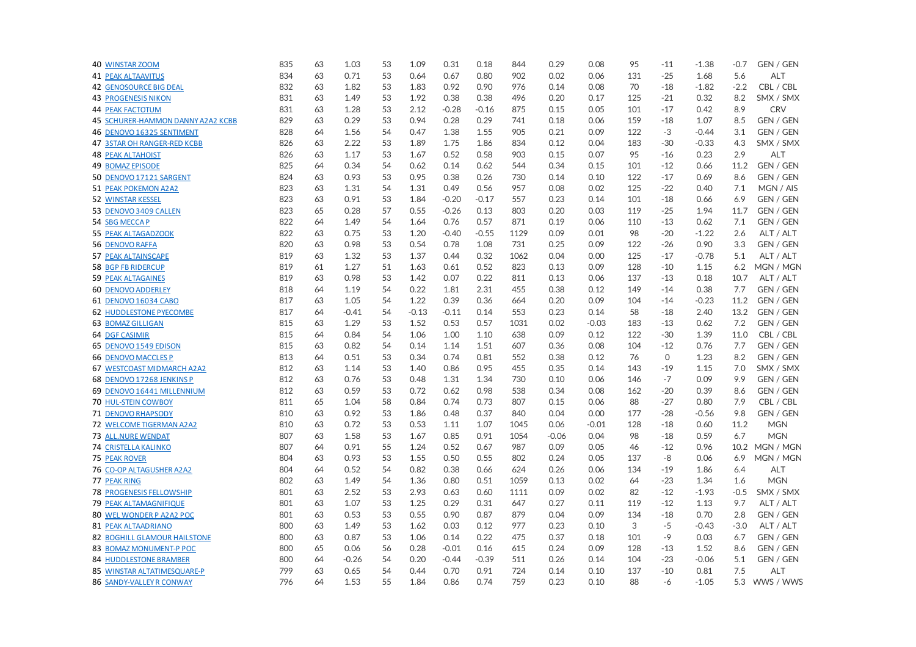| 40 WINSTAR ZOOM                     | 835 | 63 | 1.03    | 53 | 1.09    | 0.31    | 0.18    | 844  | 0.29    | 0.08    | 95  | $-11$   | $-1.38$ | $-0.7$ | GEN / GEN        |
|-------------------------------------|-----|----|---------|----|---------|---------|---------|------|---------|---------|-----|---------|---------|--------|------------------|
| <b>41 PEAK ALTAAVITUS</b>           | 834 | 63 | 0.71    | 53 | 0.64    | 0.67    | 0.80    | 902  | 0.02    | 0.06    | 131 | $-25$   | 1.68    | 5.6    | <b>ALT</b>       |
| <b>42 GENOSOURCE BIG DEAL</b>       | 832 | 63 | 1.82    | 53 | 1.83    | 0.92    | 0.90    | 976  | 0.14    | 0.08    | 70  | $-18$   | $-1.82$ | $-2.2$ | CBL / CBL        |
| <b>43 PROGENESIS NIKON</b>          | 831 | 63 | 1.49    | 53 | 1.92    | 0.38    | 0.38    | 496  | 0.20    | 0.17    | 125 | $-21$   | 0.32    | 8.2    | SMX / SMX        |
| <b>44 PEAK FACTOTUM</b>             | 831 | 63 | 1.28    | 53 | 2.12    | $-0.28$ | $-0.16$ | 875  | 0.15    | 0.05    | 101 | $-17$   | 0.42    | 8.9    | <b>CRV</b>       |
| 45 SCHURER-HAMMON DANNY A2A2 KCBB   | 829 | 63 | 0.29    | 53 | 0.94    | 0.28    | 0.29    | 741  | 0.18    | 0.06    | 159 | $-18$   | 1.07    | 8.5    | <b>GEN / GEN</b> |
| 46 DENOVO 16325 SENTIMENT           | 828 | 64 | 1.56    | 54 | 0.47    | 1.38    | 1.55    | 905  | 0.21    | 0.09    | 122 | $-3$    | $-0.44$ | 3.1    | GEN / GEN        |
| <b>47 3STAR OH RANGER-RED KCBB</b>  | 826 | 63 | 2.22    | 53 | 1.89    | 1.75    | 1.86    | 834  | 0.12    | 0.04    | 183 | $-30$   | $-0.33$ | 4.3    | SMX / SMX        |
| <b>48 PEAK ALTAHOIST</b>            | 826 | 63 | 1.17    | 53 | 1.67    | 0.52    | 0.58    | 903  | 0.15    | 0.07    | 95  | $-16$   | 0.23    | 2.9    | <b>ALT</b>       |
| <b>49 BOMAZ EPISODE</b>             | 825 | 64 | 0.34    | 54 | 0.62    | 0.14    | 0.62    | 544  | 0.34    | 0.15    | 101 | $-12$   | 0.66    | 11.2   | <b>GEN / GEN</b> |
| 50 DENOVO 17121 SARGENT             | 824 | 63 | 0.93    | 53 | 0.95    | 0.38    | 0.26    | 730  | 0.14    | 0.10    | 122 | $-17$   | 0.69    | 8.6    | GEN / GEN        |
| 51 PEAK POKEMON A2A2                | 823 | 63 | 1.31    | 54 | 1.31    | 0.49    | 0.56    | 957  | 0.08    | 0.02    | 125 | $-22$   | 0.40    | 7.1    | MGN / AIS        |
| 52 WINSTAR KESSEL                   | 823 | 63 | 0.91    | 53 | 1.84    | $-0.20$ | $-0.17$ | 557  | 0.23    | 0.14    | 101 | $-18$   | 0.66    | 6.9    | <b>GEN / GEN</b> |
| 53 DENOVO 3409 CALLEN               | 823 | 65 | 0.28    | 57 | 0.55    | $-0.26$ | 0.13    | 803  | 0.20    | 0.03    | 119 | $-25$   | 1.94    | 11.7   | <b>GEN / GEN</b> |
| 54 SBG MECCAP                       | 822 | 64 | 1.49    | 54 | 1.64    | 0.76    | 0.57    | 871  | 0.19    | 0.06    | 110 | $-13$   | 0.62    | 7.1    | <b>GEN / GEN</b> |
| <b>55 PEAK ALTAGADZOOK</b>          | 822 | 63 | 0.75    | 53 | 1.20    | $-0.40$ | $-0.55$ | 1129 | 0.09    | 0.01    | 98  | $-20$   | $-1.22$ | 2.6    | ALT / ALT        |
| 56 DENOVO RAFFA                     | 820 | 63 | 0.98    | 53 | 0.54    | 0.78    | 1.08    | 731  | 0.25    | 0.09    | 122 | $-26$   | 0.90    | 3.3    | GEN / GEN        |
| <b>57 PEAK ALTAINSCAPE</b>          | 819 | 63 | 1.32    | 53 | 1.37    | 0.44    | 0.32    | 1062 | 0.04    | 0.00    | 125 | $-17$   | $-0.78$ | 5.1    | ALT / ALT        |
| <b>58 BGP FB RIDERCUP</b>           | 819 | 61 | 1.27    | 51 | 1.63    | 0.61    | 0.52    | 823  | 0.13    | 0.09    | 128 | $-10$   | 1.15    | 6.2    | MGN / MGN        |
| <b>59 PEAK ALTAGAINES</b>           | 819 | 63 | 0.98    | 53 | 1.42    | 0.07    | 0.22    | 811  | 0.13    | 0.06    | 137 | $-13$   | 0.18    | 10.7   | ALT / ALT        |
| <b>60 DENOVO ADDERLEY</b>           | 818 | 64 | 1.19    | 54 | 0.22    | 1.81    | 2.31    | 455  | 0.38    | 0.12    | 149 | $-14$   | 0.38    | 7.7    | <b>GEN / GEN</b> |
| 61 DENOVO 16034 CABO                | 817 | 63 | 1.05    | 54 | 1.22    | 0.39    | 0.36    | 664  | 0.20    | 0.09    | 104 | $-14$   | $-0.23$ | 11.2   | <b>GEN / GEN</b> |
| <b>62 HUDDLESTONE PYECOMBE</b>      | 817 | 64 | $-0.41$ | 54 | $-0.13$ | $-0.11$ | 0.14    | 553  | 0.23    | 0.14    | 58  | $-18$   | 2.40    | 13.2   | <b>GEN / GEN</b> |
| 63 BOMAZ GILLIGAN                   | 815 | 63 | 1.29    | 53 | 1.52    | 0.53    | 0.57    | 1031 | 0.02    | $-0.03$ | 183 | $-13$   | 0.62    | 7.2    | GEN / GEN        |
| <b>64 DGF CASIMIR</b>               | 815 | 64 | 0.84    | 54 | 1.06    | 1.00    | 1.10    | 638  | 0.09    | 0.12    | 122 | $-30$   | 1.39    | 11.0   | CBL / CBL        |
| 65 DENOVO 1549 EDISON               | 815 | 63 | 0.82    | 54 | 0.14    | 1.14    | 1.51    | 607  | 0.36    | 0.08    | 104 | $-12$   | 0.76    | 7.7    | GEN / GEN        |
| <b>66 DENOVO MACCLES P</b>          | 813 | 64 | 0.51    | 53 | 0.34    | 0.74    | 0.81    | 552  | 0.38    | 0.12    | 76  | $\circ$ | 1.23    | 8.2    | GEN / GEN        |
| 67 WESTCOAST MIDMARCH A2A2          | 812 | 63 | 1.14    | 53 | 1.40    | 0.86    | 0.95    | 455  | 0.35    | 0.14    | 143 | $-19$   | 1.15    | 7.0    | SMX / SMX        |
| 68 DENOVO 17268 JENKINS P           | 812 | 63 | 0.76    | 53 | 0.48    | 1.31    | 1.34    | 730  | 0.10    | 0.06    | 146 | $-7$    | 0.09    | 9.9    | GEN / GEN        |
| 69 DENOVO 16441 MILLENNIUM          | 812 | 63 | 0.59    | 53 | 0.72    | 0.62    | 0.98    | 538  | 0.34    | 0.08    | 162 | $-20$   | 0.39    | 8.6    | <b>GEN / GEN</b> |
| <b>70 HUL-STEIN COWBOY</b>          | 811 | 65 | 1.04    | 58 | 0.84    | 0.74    | 0.73    | 807  | 0.15    | 0.06    | 88  | $-27$   | 0.80    | 7.9    | CBL / CBL        |
| 71 DENOVO RHAPSODY                  | 810 | 63 | 0.92    | 53 | 1.86    | 0.48    | 0.37    | 840  | 0.04    | 0.00    | 177 | $-28$   | $-0.56$ | 9.8    | GEN / GEN        |
| 72 WELCOME TIGERMAN A2A2            | 810 | 63 | 0.72    | 53 | 0.53    | 1.11    | 1.07    | 1045 | 0.06    | $-0.01$ | 128 | $-18$   | 0.60    | 11.2   | <b>MGN</b>       |
| 73 ALL.NURE WENDAT                  | 807 | 63 | 1.58    | 53 | 1.67    | 0.85    | 0.91    | 1054 | $-0.06$ | 0.04    | 98  | $-18$   | 0.59    | 6.7    | <b>MGN</b>       |
| 74 CRISTELLA KALINKO                | 807 | 64 | 0.91    | 55 | 1.24    | 0.52    | 0.67    | 987  | 0.09    | 0.05    | 46  | $-12$   | 0.96    | 10.2   | MGN / MGN        |
| <b>75 PEAK ROVER</b>                | 804 | 63 | 0.93    | 53 | 1.55    | 0.50    | 0.55    | 802  | 0.24    | 0.05    | 137 | -8      | 0.06    | 6.9    | MGN / MGN        |
| 76 CO-OP ALTAGUSHER A2A2            | 804 | 64 | 0.52    | 54 | 0.82    | 0.38    | 0.66    | 624  | 0.26    | 0.06    | 134 | $-19$   | 1.86    | 6.4    | <b>ALT</b>       |
| <b>77 PEAK RING</b>                 | 802 | 63 | 1.49    | 54 | 1.36    | 0.80    | 0.51    | 1059 | 0.13    | 0.02    | 64  | $-23$   | 1.34    | 1.6    | <b>MGN</b>       |
| 78 PROGENESIS FELLOWSHIP            | 801 | 63 | 2.52    | 53 | 2.93    | 0.63    | 0.60    | 1111 | 0.09    | 0.02    | 82  | $-12$   | $-1.93$ | $-0.5$ | SMX / SMX        |
| <b>79 PEAK ALTAMAGNIFIQUE</b>       | 801 | 63 | 1.07    | 53 | 1.25    | 0.29    | 0.31    | 647  | 0.27    | 0.11    | 119 | $-12$   | 1.13    | 9.7    | ALT / ALT        |
| 80 WEL WONDER P A2A2 POC            | 801 | 63 | 0.53    | 53 | 0.55    | 0.90    | 0.87    | 879  | 0.04    | 0.09    | 134 | $-18$   | 0.70    | 2.8    | GEN / GEN        |
| 81 PEAK ALTAADRIANO                 | 800 | 63 | 1.49    | 53 | 1.62    | 0.03    | 0.12    | 977  | 0.23    | 0.10    | 3   | $-5$    | $-0.43$ | $-3.0$ | ALT / ALT        |
| <b>82 BOGHILL GLAMOUR HAILSTONE</b> | 800 | 63 | 0.87    | 53 | 1.06    | 0.14    | 0.22    | 475  | 0.37    | 0.18    | 101 | $-9$    | 0.03    | 6.7    | <b>GEN / GEN</b> |
| 83 BOMAZ MONUMENT-P POC             | 800 | 65 | 0.06    | 56 | 0.28    | $-0.01$ | 0.16    | 615  | 0.24    | 0.09    | 128 | $-13$   | 1.52    | 8.6    | GEN / GEN        |
| 84 HUDDLESTONE BRAMBER              | 800 | 64 | $-0.26$ | 54 | 0.20    | $-0.44$ | $-0.39$ | 511  | 0.26    | 0.14    | 104 | $-23$   | $-0.06$ | 5.1    | GEN / GEN        |
| 85 WINSTAR ALTATIMESQUARE-P         | 799 | 63 | 0.65    | 54 | 0.44    | 0.70    | 0.91    | 724  | 0.14    | 0.10    | 137 | $-10$   | 0.81    | 7.5    | ALT              |
| 86 SANDY-VALLEY R CONWAY            | 796 | 64 | 1.53    | 55 | 1.84    | 0.86    | 0.74    | 759  | 0.23    | 0.10    | 88  | -6      | $-1.05$ | 5.3    | WWS / WWS        |